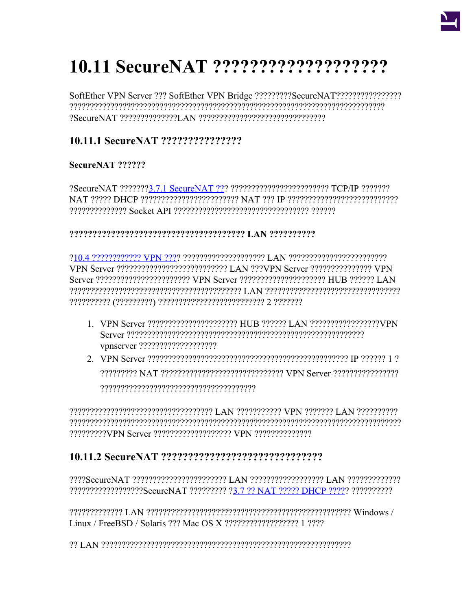# 

# 

#### SecureNAT ??????

NAT 22222 DHCP 222222222222222222222222 NAT 222 IP 22222222222222222222222222222 

#### 

Server ???????????????????????? VPN Server ?????????????????????? HUB ?????? LAN 

- 1. VPN Server ???????????????????????????? HUB ?????? LAN ??????????????????VPN
- 

# 

???????????????????SecureNAT ????????? ?3.7 ?? NAT ????? DHCP ????? ???????????

recrepted. The Line of the Care of the Care of the Care of the Care of the Care of the Care of the Ca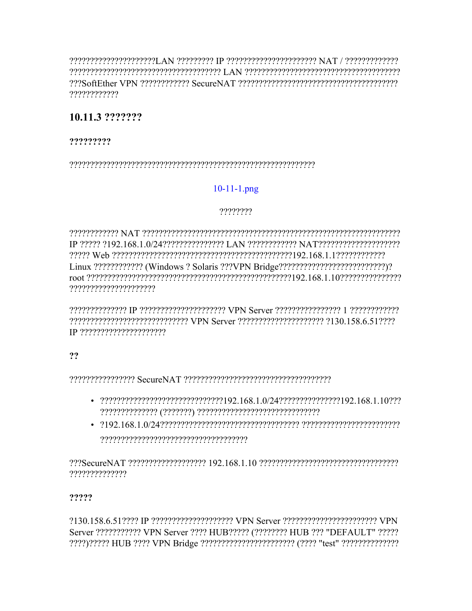POPPRESERFERENT IN PERPERTENT TERRITOR IT REPERTED AN INFORMATION CONTRIGUE AND THE USE OF THE USE OF THE USE ????????????

# 10.11.3 ???????

#### ?????????

# $10-11-1$ .png

#### ????????

22222222222222222222222222222 VPN Server 222222222222222222222 2130.158.6.512222 

#### ??

222222222222222 Secure NAT 2222222222222222222222222222222222

- $-2222222222222222222222222222222192.168.1.0/2422222222222222222192.168.1.10222$
- 

??????????????

# ?????

?130.158.6.51???? IP ???????????????????? VPN Server ??????????????????????????? VPN Server ??????????? VPN Server ???? HUB????? (???????? HUB ??? "DEFAULT" ?????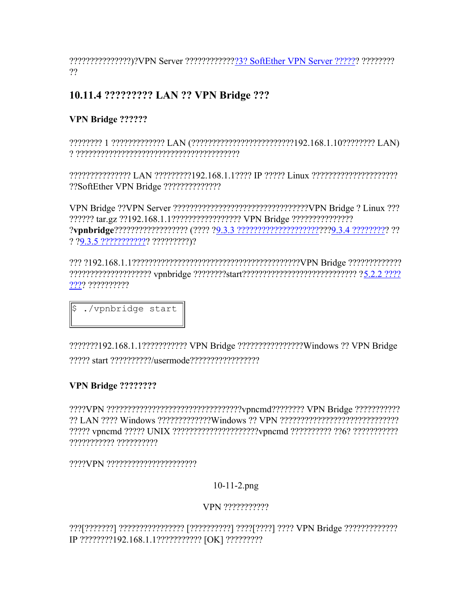???????????????)?VPN Server ??????????????3? SoftEther VPN Server ?????? ?????????  $22$ 

# 10.11.4 ?????????? LAN ?? VPN Bridge ???

# VPN Bridge ??????

???????? 1 ????????????? LAN (?????????????????????????!92.168.1.10???????? LAN) 

??????????????? LAN ????????192.168.1.1???? IP ????? Linux ?????????????????????? ??SoftEther VPN Bridge ???????????????

? ?9.3.5 ???????????? ??????????)?

???? ??????????

./vpnbridge start ∥\$

???????192.168.1.1??????????? VPN Bridge ?????????????????Windows ?? VPN Bridge 

# VPN Bridge ????????

????? vpncmd ????? UNIX ?????????????????????vpncmd ?????????? ??6? ???????????? ??????????? ??????????

# $10-11-2$ .png

# VPN ????????????

IP ????????192.168.1.1??????????? [OK] ??????????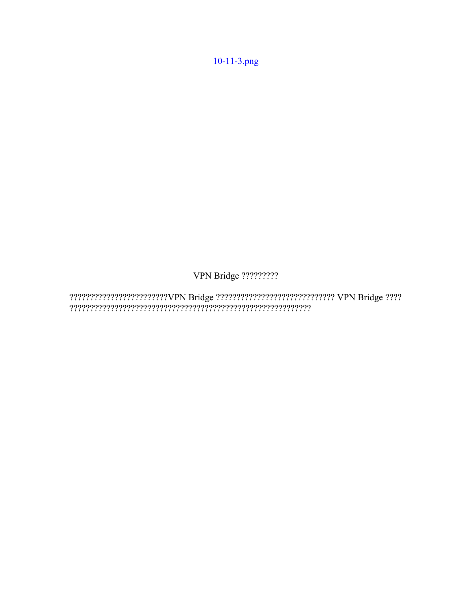10-11-3.png

VPN Bridge ?????????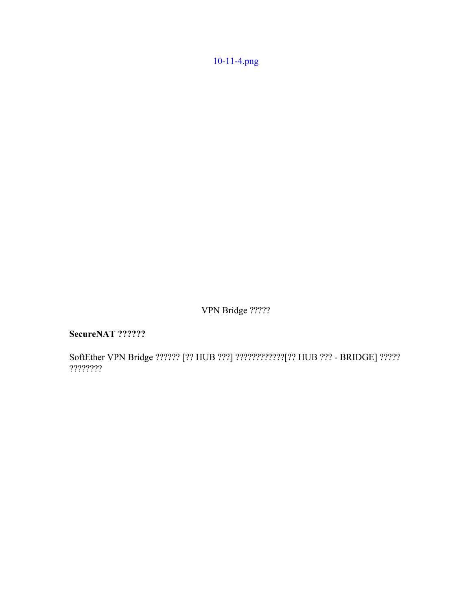[10-11-4.png](https://ja.softether.org/@api/deki/files/337/=10-11-4.png)

VPN Bridge ?????

**SecureNAT ??????**

SoftEther VPN Bridge ?????? [?? HUB ???] ????????????[?? HUB ??? - BRIDGE] ????? ????????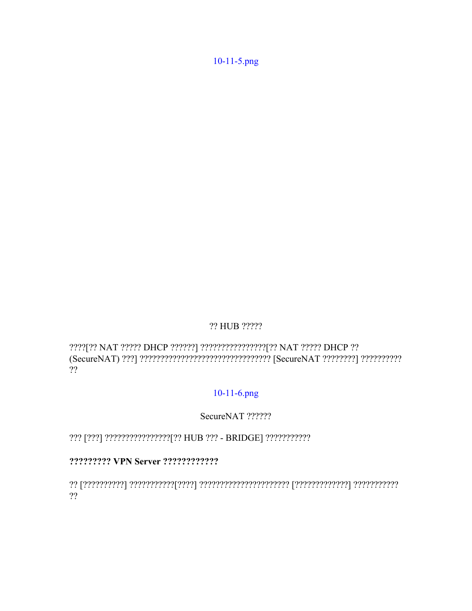#### ?? HUB ?????

????[?? NAT ????? DHCP ??????] ?????????????????[?? NAT ????? DHCP ?? ??

#### 10-11-6.png

#### SecureNAT ??????

#### 

???????????? | הירוי הירוי הירוי הירוי הירוי הירוי הירוי הירוי הירוי הירוי הירוי הירוי הירוי הירוי הירוי הירו ??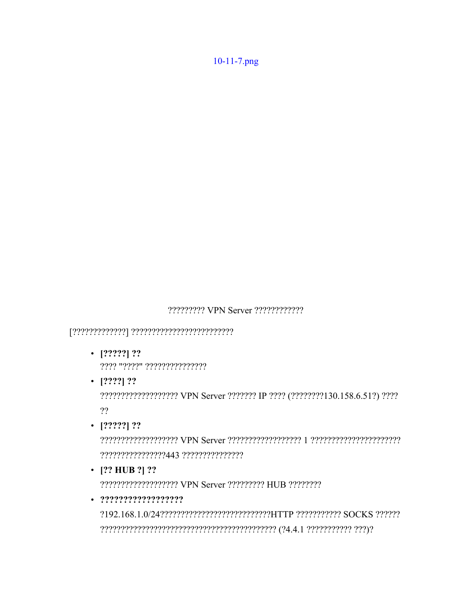????????? VPN Server ????????????

- $\cdot$  [?????] ?? ???? "????" ???????????????
- $\cdot$  [????] ??

???????????????????? VPN Server ??????? IP ???? (????????130.158.6.51?) ???? ??

 $\cdot$  [?????] ??

• [?? HUB ?] ??

????????????????????? VPN Server ????????? HUB ????????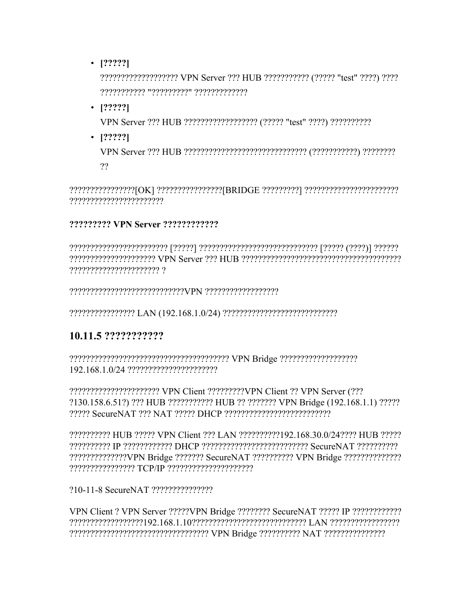$\cdot$  [?????]

??????????????????? VPN Server ??? HUB ?????????? (????? "test" ????) ???? ??????????? "?????????" ?????????????

 $-$  [?????]

VPN Server ??? HUB ?????????????????? (????? "test" ????) ???????????

 $\cdot$  [?????]

 $22$ 

?????????????????[OK] ???????????????[BRIDGE ?????????] ????????????????????????? 

#### ????????? VPN Server ?????????????

# 10.11.5 ????????????

????????????????????????? VPN Client ?????????VPN Client ?? VPN Server (??? ?130.158.6.51?) ??? HUB ??????????? HUB ?? ??????? VPN Bridge (192.168.1.1) ????? 22222 Secure NAT 222 NAT 22222 DHCP 2222222222222222222222

22222222222 HUB 22222 VPN Client 222 LAN 222222222192.168.30.0/242222 HUB 22222 ?????????? IP ???????????? DHCP ?????????????????????????? SecureNAT ??????????? ???????????????VPN Bridge ??????? SecureNAT ?????????? VPN Bridge ???????????????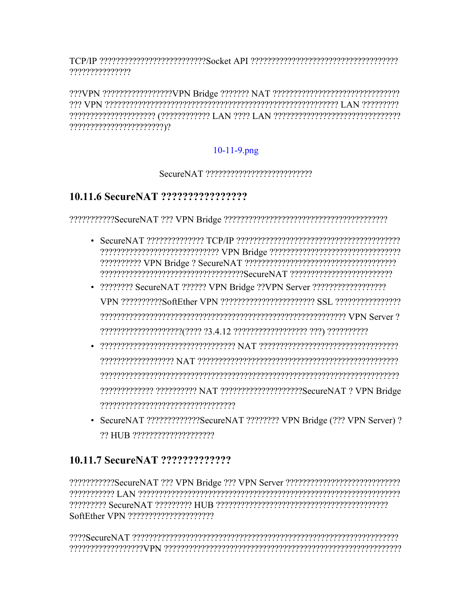???????????????

# $10-11-9.$ png

#### 

# 

- 
- 22222222222222222222222223.4.12 222222222222222222 222) 2222222222
- reserved and the consequence of the consequence  $\mathbf{A} \mathbf{r}$
- SecureNAT ??????????????SecureNAT ???????? VPN Bridge (??? VPN Server) ?

#